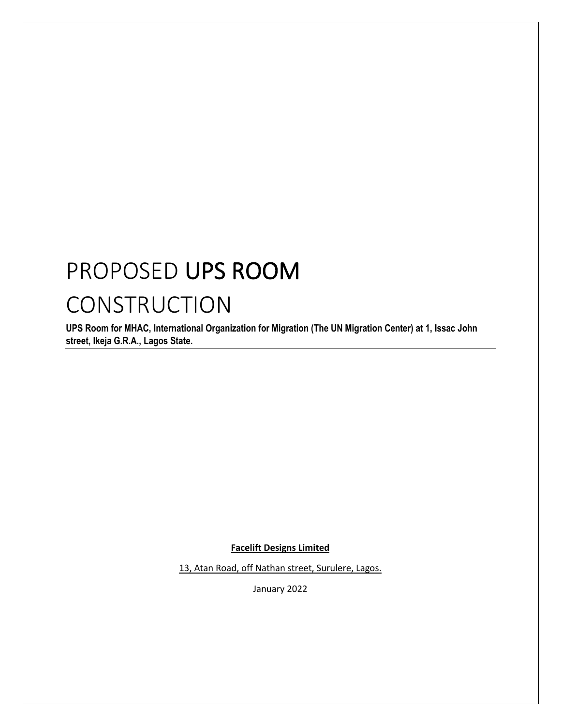## PROPOSED UPS ROOM

## **CONSTRUCTION**

**UPS Room for MHAC, International Organization for Migration (The UN Migration Center) at 1, Issac John street, Ikeja G.R.A., Lagos State.**

**Facelift Designs Limited**

13, Atan Road, off Nathan street, Surulere, Lagos.

January 2022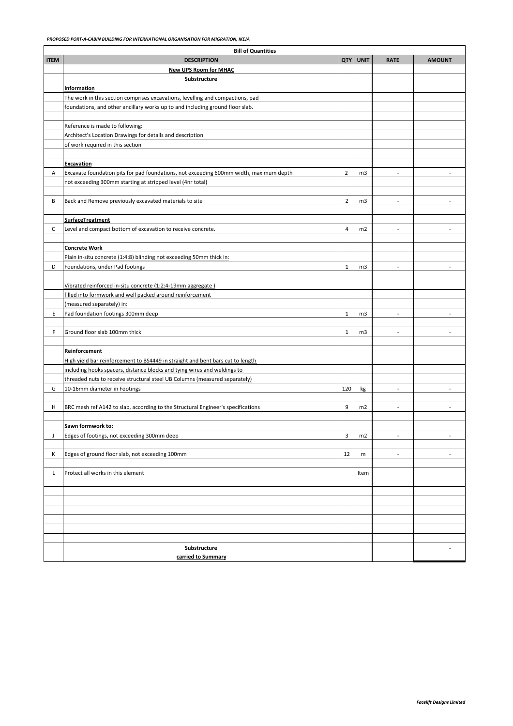|             | <b>Bill of Quantities</b>                                                                                   |                |                |                          |                |  |
|-------------|-------------------------------------------------------------------------------------------------------------|----------------|----------------|--------------------------|----------------|--|
| <b>ITEM</b> | <b>DESCRIPTION</b>                                                                                          | <b>QTY</b>     | <b>UNIT</b>    | <b>RATE</b>              | <b>AMOUNT</b>  |  |
|             | <b>New UPS Room for MHAC</b>                                                                                |                |                |                          |                |  |
|             | Substructure                                                                                                |                |                |                          |                |  |
|             | Information                                                                                                 |                |                |                          |                |  |
|             | The work in this section comprises excavations, levelling and compactions, pad                              |                |                |                          |                |  |
|             | foundations, and other ancillary works up to and including ground floor slab.                               |                |                |                          |                |  |
|             |                                                                                                             |                |                |                          |                |  |
|             | Reference is made to following:                                                                             |                |                |                          |                |  |
|             | Architect's Location Drawings for details and description                                                   |                |                |                          |                |  |
|             | of work required in this section                                                                            |                |                |                          |                |  |
|             |                                                                                                             |                |                |                          |                |  |
| Α           | <b>Excavation</b><br>Excavate foundation pits for pad foundations, not exceeding 600mm width, maximum depth | $\overline{2}$ | m <sub>3</sub> | $\overline{\phantom{a}}$ |                |  |
|             | not exceeding 300mm starting at stripped level (4nr total)                                                  |                |                |                          |                |  |
|             |                                                                                                             |                |                |                          |                |  |
| B           | Back and Remove previously excavated materials to site                                                      | $\overline{2}$ | m <sub>3</sub> | $\overline{a}$           |                |  |
|             |                                                                                                             |                |                |                          |                |  |
|             | <b>SurfaceTreatment</b>                                                                                     |                |                |                          |                |  |
| C           | Level and compact bottom of excavation to receive concrete.                                                 | $\overline{4}$ | m2             | $\overline{\phantom{a}}$ | $\overline{a}$ |  |
|             |                                                                                                             |                |                |                          |                |  |
|             | <b>Concrete Work</b>                                                                                        |                |                |                          |                |  |
|             | Plain in-situ concrete (1:4:8) blinding not exceeding 50mm thick in:                                        |                |                |                          |                |  |
| D           | Foundations, under Pad footings                                                                             | $\mathbf{1}$   | m <sub>3</sub> |                          |                |  |
|             |                                                                                                             |                |                |                          |                |  |
|             | Vibrated reinforced in-situ concrete (1:2:4-19mm aggregate)                                                 |                |                |                          |                |  |
|             | filled into formwork and well packed around reinforcement                                                   |                |                |                          |                |  |
|             | (measured separately) in:                                                                                   |                |                |                          |                |  |
| Ε           | Pad foundation footings 300mm deep                                                                          | 1              | m <sub>3</sub> | $\overline{a}$           |                |  |
|             |                                                                                                             |                |                |                          |                |  |
| F.          | Ground floor slab 100mm thick                                                                               | $\mathbf{1}$   | m <sub>3</sub> | $\overline{\phantom{a}}$ | $\overline{a}$ |  |
|             |                                                                                                             |                |                |                          |                |  |
|             | Reinforcement                                                                                               |                |                |                          |                |  |
|             | High yield bar reinforcement to BS4449 in straight and bent bars cut to length                              |                |                |                          |                |  |
|             | including hooks spacers, distance blocks and tying wires and weldings to                                    |                |                |                          |                |  |
|             | threaded nuts to receive structural steel UB Columns (measured separately)                                  |                |                |                          |                |  |
| G           | 10-16mm diameter in Footings                                                                                | 120            | kg             | $\overline{\phantom{a}}$ | $\overline{a}$ |  |
|             |                                                                                                             |                |                |                          |                |  |
| н           | BRC mesh ref A142 to slab, according to the Structural Engineer's specifications                            | 9              | m2             | $\overline{a}$           |                |  |
|             |                                                                                                             |                |                |                          |                |  |
|             | Sawn formwork to:                                                                                           |                |                |                          |                |  |
| J           | Edges of footings, not exceeding 300mm deep                                                                 | 3              | m2             | $\overline{\phantom{a}}$ | $\overline{a}$ |  |
|             | Edges of ground floor slab, not exceeding 100mm                                                             |                |                | $\overline{a}$           | $\overline{a}$ |  |
| К           |                                                                                                             | 12             | m              |                          |                |  |
| L           | Protect all works in this element                                                                           |                | Item           |                          |                |  |
|             |                                                                                                             |                |                |                          |                |  |
|             |                                                                                                             |                |                |                          |                |  |
|             |                                                                                                             |                |                |                          |                |  |
|             |                                                                                                             |                |                |                          |                |  |
|             |                                                                                                             |                |                |                          |                |  |
|             |                                                                                                             |                |                |                          |                |  |
|             |                                                                                                             |                |                |                          |                |  |
|             | Substructure                                                                                                |                |                |                          |                |  |
|             | carried to Summary                                                                                          |                |                |                          |                |  |
|             |                                                                                                             |                |                |                          |                |  |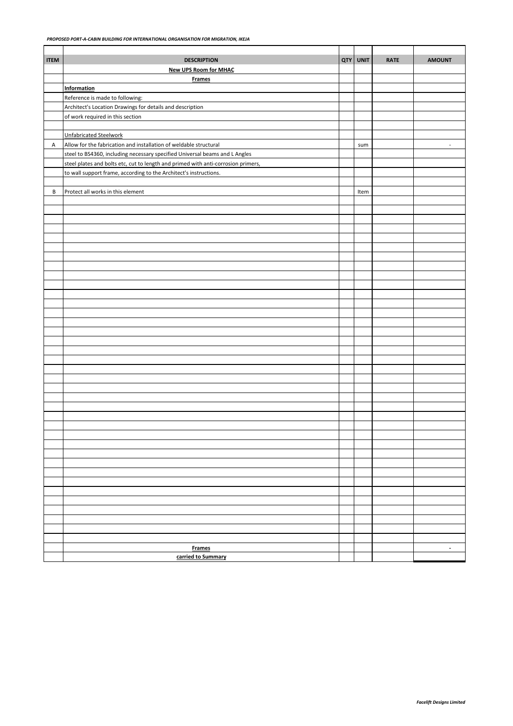| <b>ITEM</b> | <b>DESCRIPTION</b>                                                                | QTY | <b>UNIT</b> | <b>RATE</b> | <b>AMOUNT</b>            |
|-------------|-----------------------------------------------------------------------------------|-----|-------------|-------------|--------------------------|
|             | <b>New UPS Room for MHAC</b>                                                      |     |             |             |                          |
|             | <b>Frames</b>                                                                     |     |             |             |                          |
|             | <b>Information</b>                                                                |     |             |             |                          |
|             | Reference is made to following:                                                   |     |             |             |                          |
|             | Architect's Location Drawings for details and description                         |     |             |             |                          |
|             | of work required in this section                                                  |     |             |             |                          |
|             |                                                                                   |     |             |             |                          |
|             | <b>Unfabricated Steelwork</b>                                                     |     |             |             |                          |
| А           | Allow for the fabrication and installation of weldable structural                 |     | sum         |             | $\overline{\phantom{a}}$ |
|             | steel to BS4360, including necessary specified Universal beams and L Angles       |     |             |             |                          |
|             | steel plates and bolts etc, cut to length and primed with anti-corrosion primers, |     |             |             |                          |
|             | to wall support frame, according to the Architect's instructions.                 |     |             |             |                          |
|             |                                                                                   |     |             |             |                          |
| В           | Protect all works in this element                                                 |     | Item        |             |                          |
|             |                                                                                   |     |             |             |                          |
|             |                                                                                   |     |             |             |                          |
|             |                                                                                   |     |             |             |                          |
|             |                                                                                   |     |             |             |                          |
|             |                                                                                   |     |             |             |                          |
|             |                                                                                   |     |             |             |                          |
|             |                                                                                   |     |             |             |                          |
|             |                                                                                   |     |             |             |                          |
|             |                                                                                   |     |             |             |                          |
|             |                                                                                   |     |             |             |                          |
|             |                                                                                   |     |             |             |                          |
|             |                                                                                   |     |             |             |                          |
|             |                                                                                   |     |             |             |                          |
|             |                                                                                   |     |             |             |                          |
|             |                                                                                   |     |             |             |                          |
|             |                                                                                   |     |             |             |                          |
|             |                                                                                   |     |             |             |                          |
|             |                                                                                   |     |             |             |                          |
|             |                                                                                   |     |             |             |                          |
|             |                                                                                   |     |             |             |                          |
|             |                                                                                   |     |             |             |                          |
|             |                                                                                   |     |             |             |                          |
|             |                                                                                   |     |             |             |                          |
|             |                                                                                   |     |             |             |                          |
|             |                                                                                   |     |             |             |                          |
|             |                                                                                   |     |             |             |                          |
|             |                                                                                   |     |             |             |                          |
|             |                                                                                   |     |             |             |                          |
|             |                                                                                   |     |             |             |                          |
|             |                                                                                   |     |             |             |                          |
|             |                                                                                   |     |             |             |                          |
|             |                                                                                   |     |             |             |                          |
|             |                                                                                   |     |             |             |                          |
|             |                                                                                   |     |             |             |                          |
|             |                                                                                   |     |             |             |                          |
|             |                                                                                   |     |             |             |                          |
|             |                                                                                   |     |             |             |                          |
|             | <b>Frames</b>                                                                     |     |             |             | $\overline{\phantom{a}}$ |
|             | carried to Summary                                                                |     |             |             |                          |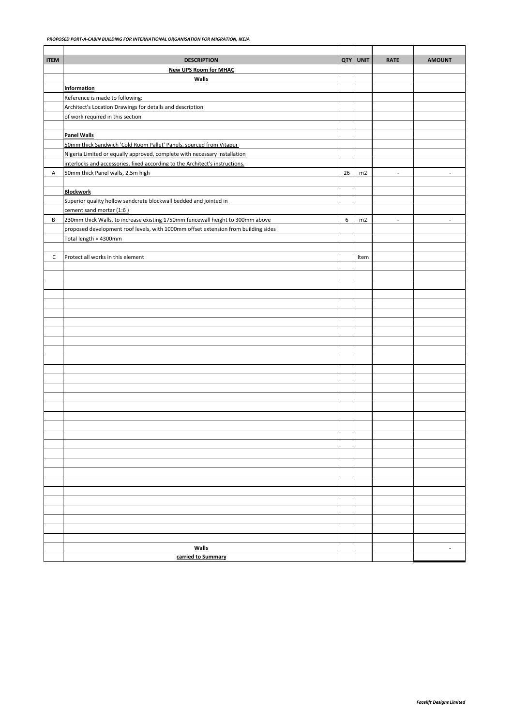| <b>ITEM</b> | <b>DESCRIPTION</b>                                                                 | <b>QTY</b> | <b>UNIT</b> | <b>RATE</b>    | <b>AMOUNT</b>            |
|-------------|------------------------------------------------------------------------------------|------------|-------------|----------------|--------------------------|
|             | <b>New UPS Room for MHAC</b>                                                       |            |             |                |                          |
|             | <b>Walls</b>                                                                       |            |             |                |                          |
|             | <b>Information</b>                                                                 |            |             |                |                          |
|             | Reference is made to following:                                                    |            |             |                |                          |
|             | Architect's Location Drawings for details and description                          |            |             |                |                          |
|             | of work required in this section                                                   |            |             |                |                          |
|             |                                                                                    |            |             |                |                          |
|             | <b>Panel Walls</b>                                                                 |            |             |                |                          |
|             | 50mm thick Sandwich 'Cold Room Pallet' Panels, sourced from Vitapur                |            |             |                |                          |
|             | Nigeria Limited or equally approved, complete with necessary installation          |            |             |                |                          |
|             | interlocks and accessories, fixed according to the Architect's instructions.       |            |             |                |                          |
| A           | 50mm thick Panel walls, 2.5m high                                                  | 26         | m2          | $\blacksquare$ | $\overline{\phantom{a}}$ |
|             | <b>Blockwork</b>                                                                   |            |             |                |                          |
|             | Superior quality hollow sandcrete blockwall bedded and jointed in                  |            |             |                |                          |
|             | cement sand mortar (1:6)                                                           |            |             |                |                          |
| В           | 230mm thick Walls, to increase existing 1750mm fencewall height to 300mm above     | 6          | m2          | $\sim$         | $\overline{\phantom{a}}$ |
|             | proposed development roof levels, with 1000mm offset extension from building sides |            |             |                |                          |
|             | Total length = 4300mm                                                              |            |             |                |                          |
|             |                                                                                    |            |             |                |                          |
| C           | Protect all works in this element                                                  |            | Item        |                |                          |
|             |                                                                                    |            |             |                |                          |
|             |                                                                                    |            |             |                |                          |
|             |                                                                                    |            |             |                |                          |
|             |                                                                                    |            |             |                |                          |
|             |                                                                                    |            |             |                |                          |
|             |                                                                                    |            |             |                |                          |
|             |                                                                                    |            |             |                |                          |
|             |                                                                                    |            |             |                |                          |
|             |                                                                                    |            |             |                |                          |
|             |                                                                                    |            |             |                |                          |
|             |                                                                                    |            |             |                |                          |
|             |                                                                                    |            |             |                |                          |
|             |                                                                                    |            |             |                |                          |
|             |                                                                                    |            |             |                |                          |
|             |                                                                                    |            |             |                |                          |
|             |                                                                                    |            |             |                |                          |
|             |                                                                                    |            |             |                |                          |
|             |                                                                                    |            |             |                |                          |
|             |                                                                                    |            |             |                |                          |
|             |                                                                                    |            |             |                |                          |
|             |                                                                                    |            |             |                |                          |
|             |                                                                                    |            |             |                |                          |
|             |                                                                                    |            |             |                |                          |
|             |                                                                                    |            |             |                |                          |
|             |                                                                                    |            |             |                |                          |
|             |                                                                                    |            |             |                |                          |
|             |                                                                                    |            |             |                |                          |
|             |                                                                                    |            |             |                |                          |
|             |                                                                                    |            |             |                |                          |
|             |                                                                                    |            |             |                |                          |
|             | <b>Walls</b>                                                                       |            |             |                | $\overline{\phantom{a}}$ |
|             | carried to Summary                                                                 |            |             |                |                          |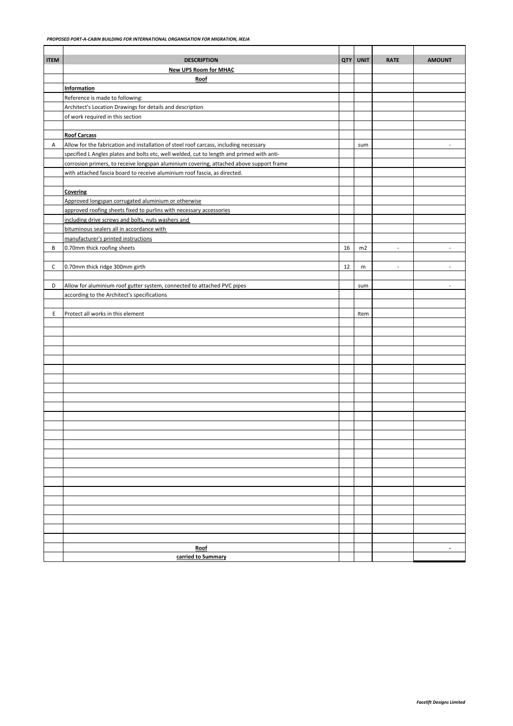| <b>ITEM</b> | <b>DESCRIPTION</b>                                                                                                         | <b>QTY</b> | <b>UNIT</b> | <b>RATE</b>              | <b>AMOUNT</b>            |
|-------------|----------------------------------------------------------------------------------------------------------------------------|------------|-------------|--------------------------|--------------------------|
|             | <b>New UPS Room for MHAC</b>                                                                                               |            |             |                          |                          |
|             | Roof                                                                                                                       |            |             |                          |                          |
|             | Information                                                                                                                |            |             |                          |                          |
|             | Reference is made to following:                                                                                            |            |             |                          |                          |
|             | Architect's Location Drawings for details and description                                                                  |            |             |                          |                          |
|             | of work required in this section                                                                                           |            |             |                          |                          |
|             |                                                                                                                            |            |             |                          |                          |
|             | <b>Roof Carcass</b>                                                                                                        |            |             |                          |                          |
| А           | Allow for the fabrication and installation of steel roof carcass, including necessary                                      |            | sum         |                          |                          |
|             | specified L Angles plates and bolts etc, well welded, cut to length and primed with anti-                                  |            |             |                          |                          |
|             | corrosion primers, to receive longspan aluminium covering, attached above support frame                                    |            |             |                          |                          |
|             | with attached fascia board to receive aluminium roof fascia, as directed.                                                  |            |             |                          |                          |
|             |                                                                                                                            |            |             |                          |                          |
|             | Covering                                                                                                                   |            |             |                          |                          |
|             | Approved longspan corrugated aluminium or otherwise<br>approved roofing sheets fixed to purlins with necessary accessories |            |             |                          |                          |
|             | including drive screws and bolts, nuts washers and                                                                         |            |             |                          |                          |
|             | bituminous sealers all in accordance with                                                                                  |            |             |                          |                          |
|             | manufacturer's printed instructions                                                                                        |            |             |                          |                          |
| В           | 0.70mm thick roofing sheets                                                                                                | 16         | m2          | $\overline{a}$           | $\overline{a}$           |
|             |                                                                                                                            |            |             |                          |                          |
| с           | 0.70mm thick ridge 300mm girth                                                                                             | 12         | m           | $\overline{\phantom{a}}$ | $\overline{a}$           |
|             |                                                                                                                            |            |             |                          |                          |
| D           | Allow for aluminium roof gutter system, connected to attached PVC pipes                                                    |            | sum         |                          | $\overline{a}$           |
|             | according to the Architect's specifications                                                                                |            |             |                          |                          |
|             |                                                                                                                            |            |             |                          |                          |
| E           | Protect all works in this element                                                                                          |            | Item        |                          |                          |
|             |                                                                                                                            |            |             |                          |                          |
|             |                                                                                                                            |            |             |                          |                          |
|             |                                                                                                                            |            |             |                          |                          |
|             |                                                                                                                            |            |             |                          |                          |
|             |                                                                                                                            |            |             |                          |                          |
|             |                                                                                                                            |            |             |                          |                          |
|             |                                                                                                                            |            |             |                          |                          |
|             |                                                                                                                            |            |             |                          |                          |
|             |                                                                                                                            |            |             |                          |                          |
|             |                                                                                                                            |            |             |                          |                          |
|             |                                                                                                                            |            |             |                          |                          |
|             |                                                                                                                            |            |             |                          |                          |
|             |                                                                                                                            |            |             |                          |                          |
|             |                                                                                                                            |            |             |                          |                          |
|             |                                                                                                                            |            |             |                          |                          |
|             |                                                                                                                            |            |             |                          |                          |
|             |                                                                                                                            |            |             |                          |                          |
|             |                                                                                                                            |            |             |                          |                          |
|             |                                                                                                                            |            |             |                          |                          |
|             |                                                                                                                            |            |             |                          |                          |
|             |                                                                                                                            |            |             |                          |                          |
|             |                                                                                                                            |            |             |                          |                          |
|             |                                                                                                                            |            |             |                          |                          |
|             |                                                                                                                            |            |             |                          |                          |
|             | Roof                                                                                                                       |            |             |                          | $\overline{\phantom{a}}$ |
|             | carried to Summary                                                                                                         |            |             |                          |                          |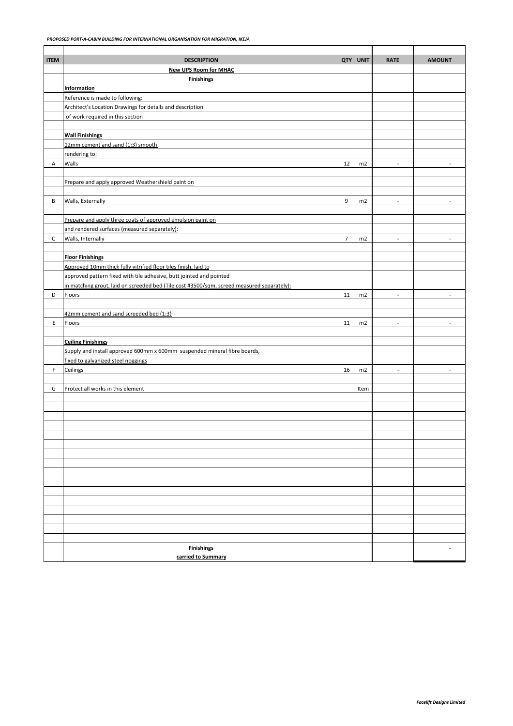| <b>ITEM</b> | <b>DESCRIPTION</b>                                                                         | <b>QTY</b>     | <b>UNIT</b> | <b>RATE</b>              | <b>AMOUNT</b>            |
|-------------|--------------------------------------------------------------------------------------------|----------------|-------------|--------------------------|--------------------------|
|             | <b>New UPS Room for MHAC</b>                                                               |                |             |                          |                          |
|             | <b>Finishings</b>                                                                          |                |             |                          |                          |
|             | <b>Information</b>                                                                         |                |             |                          |                          |
|             | Reference is made to following:                                                            |                |             |                          |                          |
|             | Architect's Location Drawings for details and description                                  |                |             |                          |                          |
|             | of work required in this section                                                           |                |             |                          |                          |
|             |                                                                                            |                |             |                          |                          |
|             | <b>Wall Finishings</b>                                                                     |                |             |                          |                          |
|             | 12mm cement and sand (1:3) smooth                                                          |                |             |                          |                          |
|             | rendering to:                                                                              |                |             |                          |                          |
| А           | Walls                                                                                      | 12             | m2          | $\blacksquare$           |                          |
|             |                                                                                            |                |             |                          |                          |
|             | Prepare and apply approved Weathershield paint on                                          |                |             |                          |                          |
|             |                                                                                            |                |             |                          |                          |
| В           | Walls, Externally                                                                          | 9              | m2          | $\overline{\phantom{a}}$ |                          |
|             |                                                                                            |                |             |                          |                          |
|             | Prepare and apply three coats of approved emulsion paint on                                |                |             |                          |                          |
|             | and rendered surfaces (measured separately):                                               |                |             |                          |                          |
| C           | Walls, Internally                                                                          | $\overline{7}$ | m2          | $\blacksquare$           | $\overline{a}$           |
|             |                                                                                            |                |             |                          |                          |
|             | <b>Floor Finishings</b>                                                                    |                |             |                          |                          |
|             | Approved 10mm thick fully vitrified floor tiles finish, laid to                            |                |             |                          |                          |
|             | approved pattern fixed with tile adhesive, butt jointed and pointed                        |                |             |                          |                          |
|             | in matching grout, laid on screeded bed (Tile cost #3500/sqm, screed measured separately): |                |             |                          |                          |
| D           | Floors                                                                                     | 11             | m2          | $\overline{\phantom{a}}$ | $\overline{a}$           |
|             |                                                                                            |                |             |                          |                          |
|             | 42mm cement and sand screeded bed (1:3)                                                    |                |             |                          |                          |
| E           | Floors                                                                                     | 11             | m2          | $\sim$                   | $\overline{\phantom{a}}$ |
|             |                                                                                            |                |             |                          |                          |
|             | <b>Ceiling Finishings</b>                                                                  |                |             |                          |                          |
|             | Supply and install approved 600mm x 600mm suspended mineral fibre boards,                  |                |             |                          |                          |
|             | fixed to galvanized steel noggings                                                         |                |             |                          |                          |
| F.          | Ceilings                                                                                   | 16             | m2          | $\overline{\phantom{a}}$ | $\overline{\phantom{a}}$ |
|             |                                                                                            |                |             |                          |                          |
| G           | Protect all works in this element                                                          |                | Item        |                          |                          |
|             |                                                                                            |                |             |                          |                          |
|             |                                                                                            |                |             |                          |                          |
|             |                                                                                            |                |             |                          |                          |
|             |                                                                                            |                |             |                          |                          |
|             |                                                                                            |                |             |                          |                          |
|             |                                                                                            |                |             |                          |                          |
|             |                                                                                            |                |             |                          |                          |
|             |                                                                                            |                |             |                          |                          |
|             |                                                                                            |                |             |                          |                          |
|             |                                                                                            |                |             |                          |                          |
|             |                                                                                            |                |             |                          |                          |
|             |                                                                                            |                |             |                          |                          |
|             |                                                                                            |                |             |                          |                          |
|             |                                                                                            |                |             |                          |                          |
|             |                                                                                            |                |             |                          |                          |
|             |                                                                                            |                |             |                          |                          |
|             | <b>Finishings</b>                                                                          |                |             |                          | $\overline{\phantom{a}}$ |
|             | carried to Summary                                                                         |                |             |                          |                          |
|             |                                                                                            |                |             |                          |                          |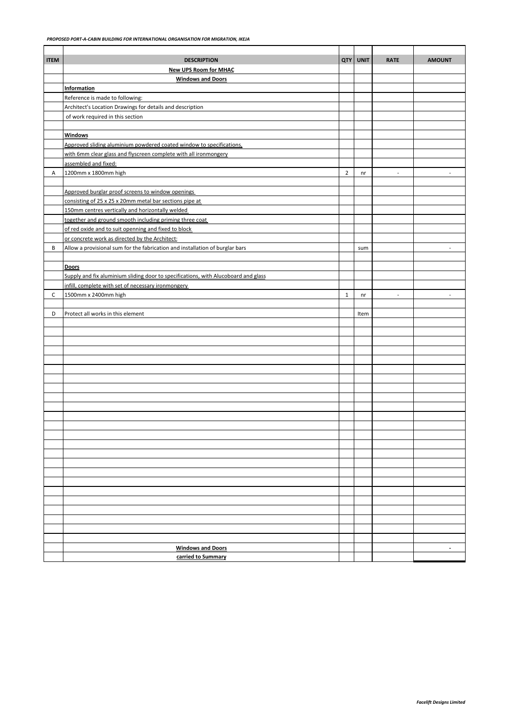| <b>ITEM</b> | <b>DESCRIPTION</b>                                                                 | <b>QTY</b>     | <b>UNIT</b> | <b>RATE</b>              | <b>AMOUNT</b>            |
|-------------|------------------------------------------------------------------------------------|----------------|-------------|--------------------------|--------------------------|
|             | <b>New UPS Room for MHAC</b>                                                       |                |             |                          |                          |
|             | <b>Windows and Doors</b>                                                           |                |             |                          |                          |
|             | Information                                                                        |                |             |                          |                          |
|             | Reference is made to following:                                                    |                |             |                          |                          |
|             | Architect's Location Drawings for details and description                          |                |             |                          |                          |
|             | of work required in this section                                                   |                |             |                          |                          |
|             |                                                                                    |                |             |                          |                          |
|             | <b>Windows</b>                                                                     |                |             |                          |                          |
|             | Approved sliding aluminium powdered coated window to specifications,               |                |             |                          |                          |
|             | with 6mm clear glass and flyscreen complete with all ironmongery                   |                |             |                          |                          |
| Α           | assembled and fixed:<br>1200mm x 1800mm high                                       | $\overline{2}$ |             | $\overline{\phantom{a}}$ | $\overline{\phantom{a}}$ |
|             |                                                                                    |                | nr          |                          |                          |
|             | Approved burglar proof screens to window openings                                  |                |             |                          |                          |
|             | consisting of 25 x 25 x 20mm metal bar sections pipe at                            |                |             |                          |                          |
|             | 150mm centres vertically and horizontally welded                                   |                |             |                          |                          |
|             | together and ground smooth including priming three coat                            |                |             |                          |                          |
|             | of red oxide and to suit openning and fixed to block                               |                |             |                          |                          |
|             | or concrete work as directed by the Architect:                                     |                |             |                          |                          |
| В           | Allow a provisional sum for the fabrication and installation of burglar bars       |                | sum         |                          | $\overline{\phantom{a}}$ |
|             |                                                                                    |                |             |                          |                          |
|             | Doors                                                                              |                |             |                          |                          |
|             | Supply and fix aluminium sliding door to specifications, with Alucoboard and glass |                |             |                          |                          |
|             | infill, complete with set of necessary ironmongery                                 |                |             |                          |                          |
| C           | 1500mm x 2400mm high                                                               | $\mathbf{1}$   | nr          | $\overline{\phantom{a}}$ | $\overline{a}$           |
|             |                                                                                    |                |             |                          |                          |
| D           | Protect all works in this element                                                  |                | Item        |                          |                          |
|             |                                                                                    |                |             |                          |                          |
|             |                                                                                    |                |             |                          |                          |
|             |                                                                                    |                |             |                          |                          |
|             |                                                                                    |                |             |                          |                          |
|             |                                                                                    |                |             |                          |                          |
|             |                                                                                    |                |             |                          |                          |
|             |                                                                                    |                |             |                          |                          |
|             |                                                                                    |                |             |                          |                          |
|             |                                                                                    |                |             |                          |                          |
|             |                                                                                    |                |             |                          |                          |
|             |                                                                                    |                |             |                          |                          |
|             |                                                                                    |                |             |                          |                          |
|             |                                                                                    |                |             |                          |                          |
|             |                                                                                    |                |             |                          |                          |
|             |                                                                                    |                |             |                          |                          |
|             |                                                                                    |                |             |                          |                          |
|             |                                                                                    |                |             |                          |                          |
|             |                                                                                    |                |             |                          |                          |
|             |                                                                                    |                |             |                          |                          |
|             |                                                                                    |                |             |                          |                          |
|             |                                                                                    |                |             |                          |                          |
|             |                                                                                    |                |             |                          |                          |
|             |                                                                                    |                |             |                          |                          |
|             |                                                                                    |                |             |                          |                          |
|             | <b>Windows and Doors</b>                                                           |                |             |                          | $\overline{\phantom{a}}$ |
|             | carried to Summary                                                                 |                |             |                          |                          |
|             |                                                                                    |                |             |                          |                          |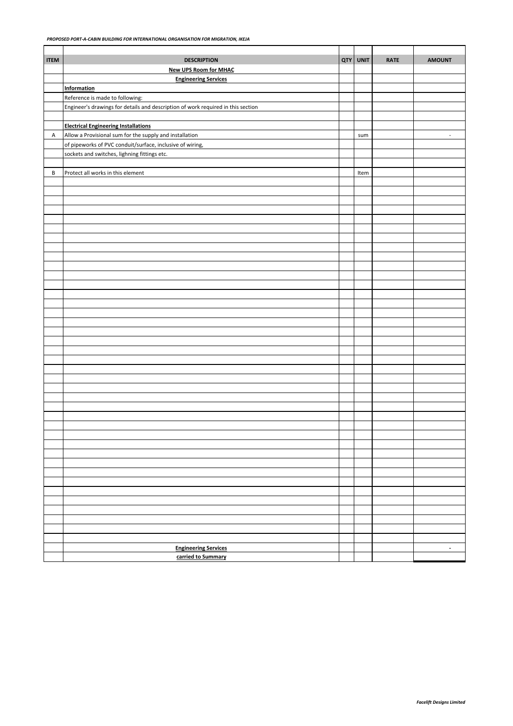| <b>ITEM</b> | <b>DESCRIPTION</b>                                                               | QTY | <b>UNIT</b> | <b>RATE</b> | <b>AMOUNT</b>            |
|-------------|----------------------------------------------------------------------------------|-----|-------------|-------------|--------------------------|
|             | <b>New UPS Room for MHAC</b>                                                     |     |             |             |                          |
|             | <b>Engineering Services</b>                                                      |     |             |             |                          |
|             | <b>Information</b>                                                               |     |             |             |                          |
|             | Reference is made to following:                                                  |     |             |             |                          |
|             | Engineer's drawings for details and description of work required in this section |     |             |             |                          |
|             |                                                                                  |     |             |             |                          |
|             | <b>Electrical Engineering Installations</b>                                      |     |             |             |                          |
| Α           | Allow a Provisional sum for the supply and installation                          |     | sum         |             | $\overline{\phantom{a}}$ |
|             | of pipeworks of PVC conduit/surface, inclusive of wiring,                        |     |             |             |                          |
|             | sockets and switches, lighning fittings etc.                                     |     |             |             |                          |
|             |                                                                                  |     |             |             |                          |
| В           | Protect all works in this element                                                |     | Item        |             |                          |
|             |                                                                                  |     |             |             |                          |
|             |                                                                                  |     |             |             |                          |
|             |                                                                                  |     |             |             |                          |
|             |                                                                                  |     |             |             |                          |
|             |                                                                                  |     |             |             |                          |
|             |                                                                                  |     |             |             |                          |
|             |                                                                                  |     |             |             |                          |
|             |                                                                                  |     |             |             |                          |
|             |                                                                                  |     |             |             |                          |
|             |                                                                                  |     |             |             |                          |
|             |                                                                                  |     |             |             |                          |
|             |                                                                                  |     |             |             |                          |
|             |                                                                                  |     |             |             |                          |
|             |                                                                                  |     |             |             |                          |
|             |                                                                                  |     |             |             |                          |
|             |                                                                                  |     |             |             |                          |
|             |                                                                                  |     |             |             |                          |
|             |                                                                                  |     |             |             |                          |
|             |                                                                                  |     |             |             |                          |
|             |                                                                                  |     |             |             |                          |
|             |                                                                                  |     |             |             |                          |
|             |                                                                                  |     |             |             |                          |
|             |                                                                                  |     |             |             |                          |
|             |                                                                                  |     |             |             |                          |
|             |                                                                                  |     |             |             |                          |
|             |                                                                                  |     |             |             |                          |
|             |                                                                                  |     |             |             |                          |
|             |                                                                                  |     |             |             |                          |
|             |                                                                                  |     |             |             |                          |
|             |                                                                                  |     |             |             |                          |
|             |                                                                                  |     |             |             |                          |
|             |                                                                                  |     |             |             |                          |
|             |                                                                                  |     |             |             |                          |
|             |                                                                                  |     |             |             |                          |
|             |                                                                                  |     |             |             |                          |
|             |                                                                                  |     |             |             |                          |
|             |                                                                                  |     |             |             |                          |
|             |                                                                                  |     |             |             |                          |
|             |                                                                                  |     |             |             |                          |
|             |                                                                                  |     |             |             |                          |
|             |                                                                                  |     |             |             |                          |
|             | <b>Engineering Services</b>                                                      |     |             |             | $\overline{\phantom{a}}$ |
|             | carried to Summary                                                               |     |             |             |                          |